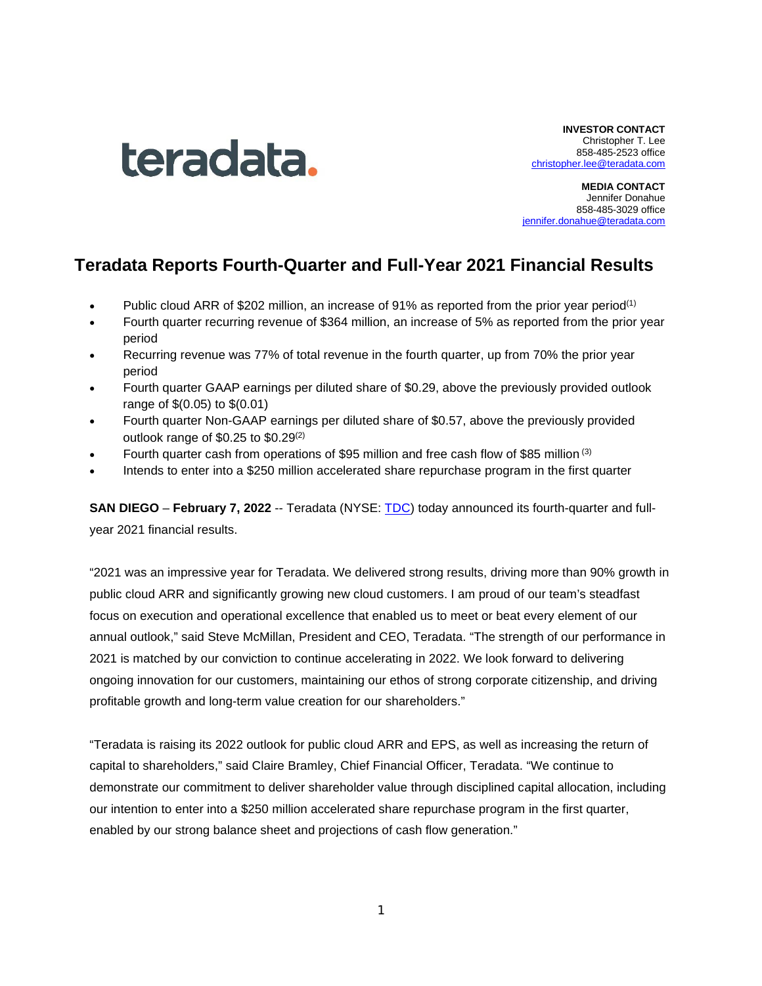

**INVESTOR CONTACT** Christopher T. Lee 858-485-2523 office [christopher.lee@teradata.com](mailto:christopher.lee@teradata.com)

**MEDIA CONTACT** Jennifer Donahue 858-485-3029 office [jennifer.donahue@teradata.com](mailto:jennifer.donahue@teradata.com)

# **Teradata Reports Fourth-Quarter and Full-Year 2021 Financial Results**

- Public cloud ARR of \$202 million, an increase of 91% as reported from the prior year period<sup>(1)</sup>
- Fourth quarter recurring revenue of \$364 million, an increase of 5% as reported from the prior year period
- Recurring revenue was 77% of total revenue in the fourth quarter, up from 70% the prior year period
- Fourth quarter GAAP earnings per diluted share of \$0.29, above the previously provided outlook range of \$(0.05) to \$(0.01)
- Fourth quarter Non-GAAP earnings per diluted share of \$0.57, above the previously provided outlook range of \$0.25 to \$0.29(2)
- Fourth quarter cash from operations of \$95 million and free cash flow of \$85 million (3)
- Intends to enter into a \$250 million accelerated share repurchase program in the first quarter

**SAN DIEGO** – **February 7, 2022** -- Teradata (NYSE: [TDC\)](https://investor.teradata.com/about-teradata/default.aspx) today announced its fourth-quarter and fullyear 2021 financial results.

"2021 was an impressive year for Teradata. We delivered strong results, driving more than 90% growth in public cloud ARR and significantly growing new cloud customers. I am proud of our team's steadfast focus on execution and operational excellence that enabled us to meet or beat every element of our annual outlook," said Steve McMillan, President and CEO, Teradata. "The strength of our performance in 2021 is matched by our conviction to continue accelerating in 2022. We look forward to delivering ongoing innovation for our customers, maintaining our ethos of strong corporate citizenship, and driving profitable growth and long-term value creation for our shareholders."

"Teradata is raising its 2022 outlook for public cloud ARR and EPS, as well as increasing the return of capital to shareholders," said Claire Bramley, Chief Financial Officer, Teradata. "We continue to demonstrate our commitment to deliver shareholder value through disciplined capital allocation, including our intention to enter into a \$250 million accelerated share repurchase program in the first quarter, enabled by our strong balance sheet and projections of cash flow generation."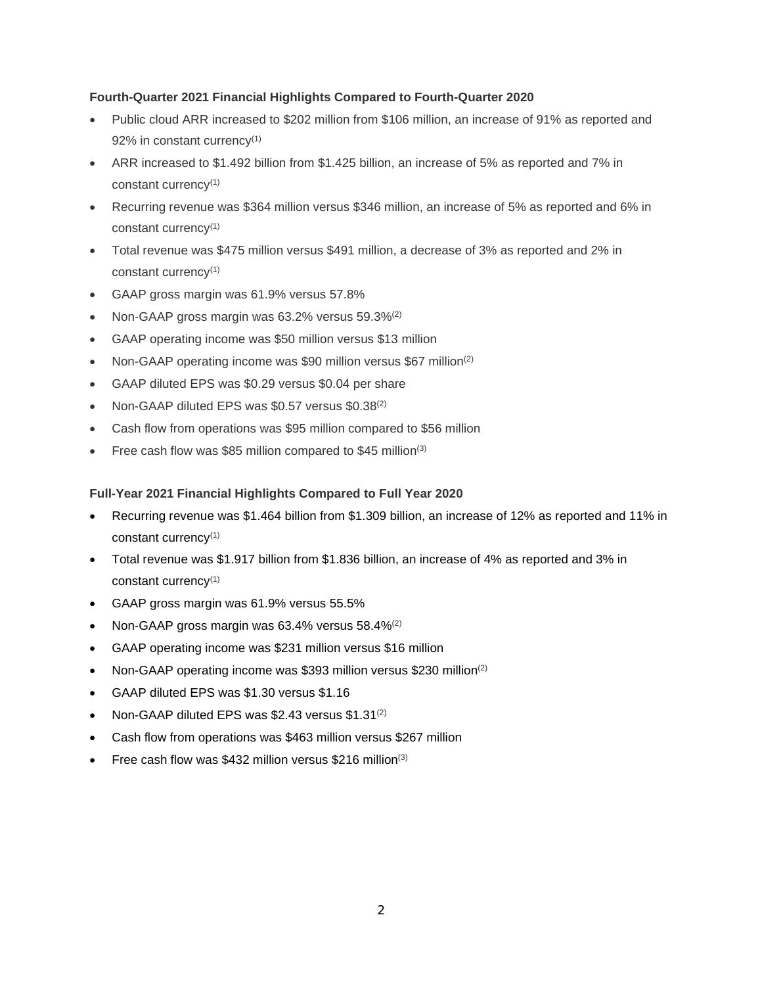### **Fourth-Quarter 2021 Financial Highlights Compared to Fourth-Quarter 2020**

- Public cloud ARR increased to \$202 million from \$106 million, an increase of 91% as reported and 92% in constant currency<sup>(1)</sup>
- ARR increased to \$1.492 billion from \$1.425 billion, an increase of 5% as reported and 7% in constant currency(1)
- Recurring revenue was \$364 million versus \$346 million, an increase of 5% as reported and 6% in constant currency<sup>(1)</sup>
- Total revenue was \$475 million versus \$491 million, a decrease of 3% as reported and 2% in constant currency(1)
- GAAP gross margin was 61.9% versus 57.8%
- Non-GAAP gross margin was 63.2% versus 59.3%<sup>(2)</sup>
- GAAP operating income was \$50 million versus \$13 million
- Non-GAAP operating income was \$90 million versus \$67 million(2)
- GAAP diluted EPS was \$0.29 versus \$0.04 per share
- Non-GAAP diluted EPS was \$0.57 versus \$0.38(2)
- Cash flow from operations was \$95 million compared to \$56 million
- Free cash flow was \$85 million compared to \$45 million<sup>(3)</sup>

### **Full-Year 2021 Financial Highlights Compared to Full Year 2020**

- Recurring revenue was \$1.464 billion from \$1.309 billion, an increase of 12% as reported and 11% in constant currency(1)
- Total revenue was \$1.917 billion from \$1.836 billion, an increase of 4% as reported and 3% in constant currency(1)
- GAAP gross margin was 61.9% versus 55.5%
- Non-GAAP gross margin was 63.4% versus 58.4%<sup>(2)</sup>
- GAAP operating income was \$231 million versus \$16 million
- Non-GAAP operating income was \$393 million versus \$230 million(2)
- GAAP diluted EPS was \$1.30 versus \$1.16
- Non-GAAP diluted EPS was \$2.43 versus  $$1.31^{(2)}$
- Cash flow from operations was \$463 million versus \$267 million
- Free cash flow was \$432 million versus \$216 million<sup>(3)</sup>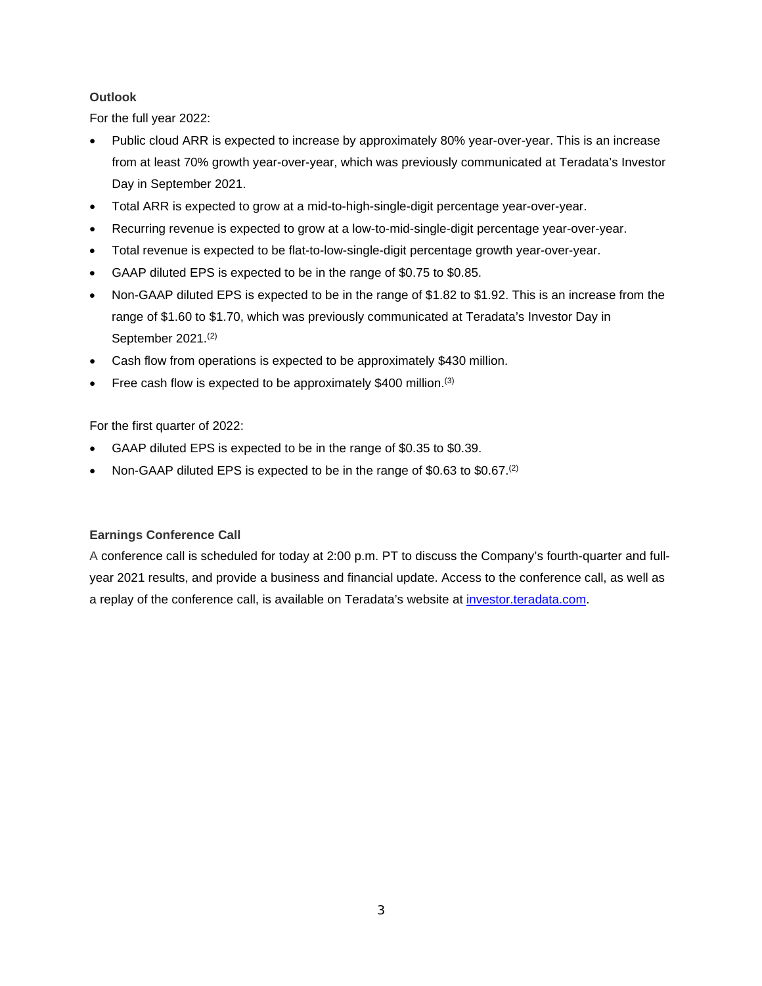## **Outlook**

For the full year 2022:

- Public cloud ARR is expected to increase by approximately 80% year-over-year. This is an increase from at least 70% growth year-over-year, which was previously communicated at Teradata's Investor Day in September 2021.
- Total ARR is expected to grow at a mid-to-high-single-digit percentage year-over-year.
- Recurring revenue is expected to grow at a low-to-mid-single-digit percentage year-over-year.
- Total revenue is expected to be flat-to-low-single-digit percentage growth year-over-year.
- GAAP diluted EPS is expected to be in the range of \$0.75 to \$0.85.
- Non-GAAP diluted EPS is expected to be in the range of \$1.82 to \$1.92. This is an increase from the range of \$1.60 to \$1.70, which was previously communicated at Teradata's Investor Day in September 2021. (2)
- Cash flow from operations is expected to be approximately \$430 million.
- Free cash flow is expected to be approximately \$400 million.<sup>(3)</sup>

For the first quarter of 2022:

- GAAP diluted EPS is expected to be in the range of \$0.35 to \$0.39.
- Non-GAAP diluted EPS is expected to be in the range of \$0.63 to \$0.67.<sup>(2)</sup>

### **Earnings Conference Call**

A conference call is scheduled for today at 2:00 p.m. PT to discuss the Company's fourth-quarter and fullyear 2021 results, and provide a business and financial update. Access to the conference call, as well as a replay of the conference call, is available on Teradata's website at [investor.teradata.com.](https://investor.teradata.com/about-teradata/default.aspx#top)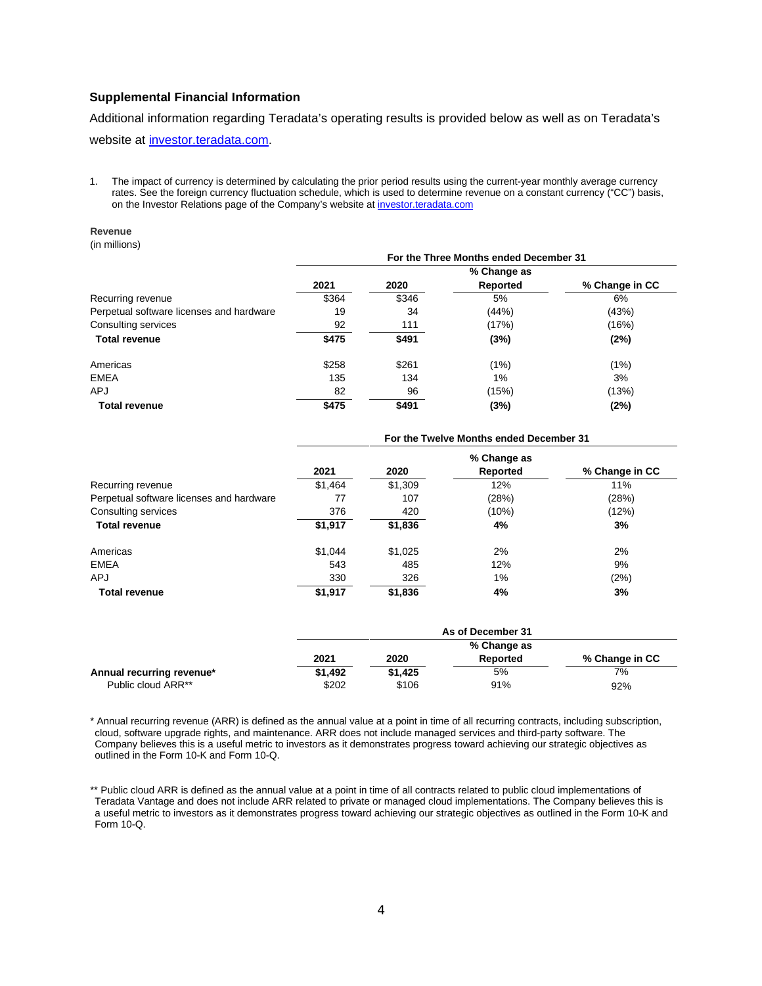### **Supplemental Financial Information**

Additional information regarding Teradata's operating results is provided below as well as on Teradata's website at [investor.teradata.com.](https://investor.teradata.com/)

1. The impact of currency is determined by calculating the prior period results using the current-year monthly average currency rates. See the foreign currency fluctuation schedule, which is used to determine revenue on a constant currency ("CC") basis, on the Investor Relations page of the Company's website a[t investor.teradata.com](https://investor.teradata.com/about-teradata/default.aspx#top)

#### **Revenue**

(in millions)

|                                          | For the Three Months ended December 31 |       |             |                |  |  |  |  |  |  |
|------------------------------------------|----------------------------------------|-------|-------------|----------------|--|--|--|--|--|--|
|                                          |                                        |       | % Change as |                |  |  |  |  |  |  |
|                                          | 2021                                   | 2020  | Reported    | % Change in CC |  |  |  |  |  |  |
| Recurring revenue                        | \$364                                  | \$346 | 5%          | 6%             |  |  |  |  |  |  |
| Perpetual software licenses and hardware | 19                                     | 34    | (44%)       | (43%)          |  |  |  |  |  |  |
| Consulting services                      | 92                                     | 111   | (17%)       | (16%)          |  |  |  |  |  |  |
| <b>Total revenue</b>                     | \$475                                  | \$491 | (3%)        | (2%)           |  |  |  |  |  |  |
| Americas                                 | \$258                                  | \$261 | (1%)        | (1%)           |  |  |  |  |  |  |
| <b>EMEA</b>                              | 135                                    | 134   | 1%          | 3%             |  |  |  |  |  |  |
| <b>APJ</b>                               | 82                                     | 96    | (15%)       | (13%)          |  |  |  |  |  |  |
| <b>Total revenue</b>                     | \$475                                  | \$491 | (3%)        | (2%)           |  |  |  |  |  |  |

|                                          | For the Twelve Months ended December 31 |         |          |                |  |  |  |  |  |  |
|------------------------------------------|-----------------------------------------|---------|----------|----------------|--|--|--|--|--|--|
|                                          |                                         |         |          |                |  |  |  |  |  |  |
|                                          | 2021                                    | 2020    | Reported | % Change in CC |  |  |  |  |  |  |
| Recurring revenue                        | \$1,464                                 | \$1,309 | 12%      | 11%            |  |  |  |  |  |  |
| Perpetual software licenses and hardware | 77                                      | 107     | (28%)    | (28%)          |  |  |  |  |  |  |
| Consulting services                      | 376                                     | 420     | (10%)    | (12%)          |  |  |  |  |  |  |
| <b>Total revenue</b>                     | \$1,917                                 | \$1,836 | 4%       | 3%             |  |  |  |  |  |  |
| Americas                                 | \$1.044                                 | \$1.025 | 2%       | 2%             |  |  |  |  |  |  |
| <b>EMEA</b>                              | 543                                     | 485     | 12%      | 9%             |  |  |  |  |  |  |
| <b>APJ</b>                               | 330                                     | 326     | 1%       | (2%)           |  |  |  |  |  |  |
| <b>Total revenue</b>                     | \$1,917                                 | \$1,836 | 4%       | 3%             |  |  |  |  |  |  |

|                           |         | As of December 31 |          |                |  |  |  |  |  |  |
|---------------------------|---------|-------------------|----------|----------------|--|--|--|--|--|--|
|                           |         | % Change as       |          |                |  |  |  |  |  |  |
|                           | 2021    | 2020              | Reported | % Change in CC |  |  |  |  |  |  |
| Annual recurring revenue* | \$1.492 | \$1,425           | 5%       | 7%             |  |  |  |  |  |  |
| Public cloud ARR**        | \$202   | \$106             | 91%      | 92%            |  |  |  |  |  |  |

\* Annual recurring revenue (ARR) is defined as the annual value at a point in time of all recurring contracts, including subscription, cloud, software upgrade rights, and maintenance. ARR does not include managed services and third-party software. The Company believes this is a useful metric to investors as it demonstrates progress toward achieving our strategic objectives as outlined in the Form 10-K and Form 10-Q.

\*\* Public cloud ARR is defined as the annual value at a point in time of all contracts related to public cloud implementations of Teradata Vantage and does not include ARR related to private or managed cloud implementations. The Company believes this is a useful metric to investors as it demonstrates progress toward achieving our strategic objectives as outlined in the Form 10-K and Form 10-Q.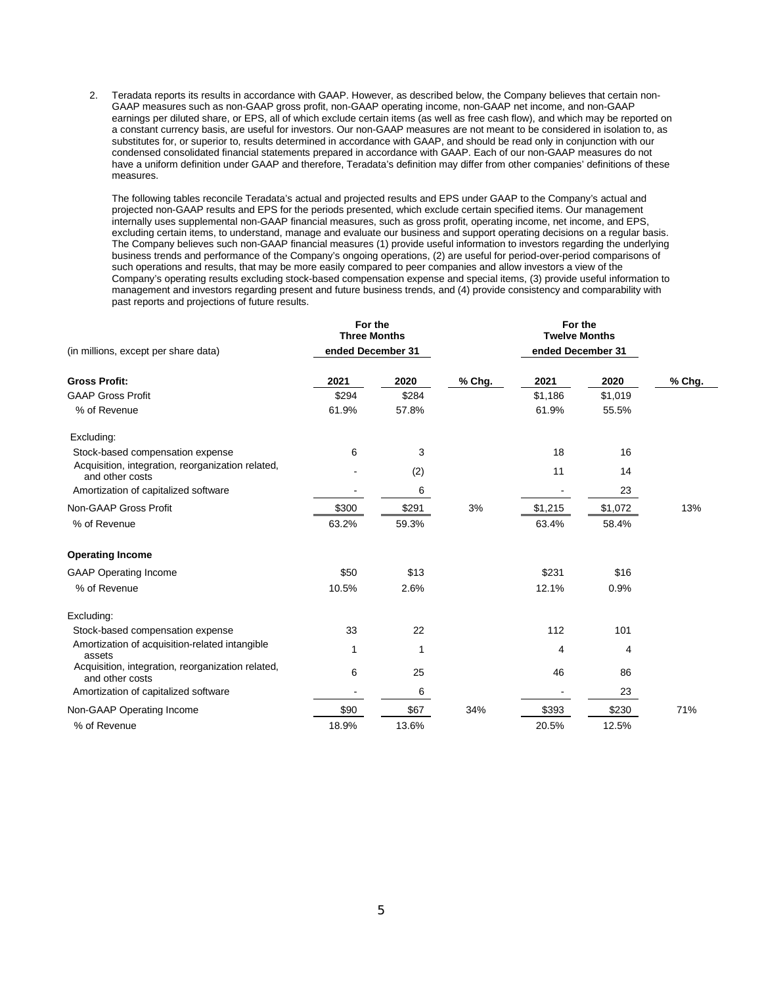2. Teradata reports its results in accordance with GAAP. However, as described below, the Company believes that certain non-GAAP measures such as non-GAAP gross profit, non-GAAP operating income, non-GAAP net income, and non-GAAP earnings per diluted share, or EPS, all of which exclude certain items (as well as free cash flow), and which may be reported on a constant currency basis, are useful for investors. Our non-GAAP measures are not meant to be considered in isolation to, as substitutes for, or superior to, results determined in accordance with GAAP, and should be read only in conjunction with our condensed consolidated financial statements prepared in accordance with GAAP. Each of our non-GAAP measures do not have a uniform definition under GAAP and therefore, Teradata's definition may differ from other companies' definitions of these measures.

The following tables reconcile Teradata's actual and projected results and EPS under GAAP to the Company's actual and projected non-GAAP results and EPS for the periods presented, which exclude certain specified items. Our management internally uses supplemental non-GAAP financial measures, such as gross profit, operating income, net income, and EPS, excluding certain items, to understand, manage and evaluate our business and support operating decisions on a regular basis. The Company believes such non-GAAP financial measures (1) provide useful information to investors regarding the underlying business trends and performance of the Company's ongoing operations, (2) are useful for period-over-period comparisons of such operations and results, that may be more easily compared to peer companies and allow investors a view of the Company's operating results excluding stock-based compensation expense and special items, (3) provide useful information to management and investors regarding present and future business trends, and (4) provide consistency and comparability with past reports and projections of future results.

|                                                                      | For the<br><b>Three Months</b> |       |        | For the<br><b>Twelve Months</b> |         |        |
|----------------------------------------------------------------------|--------------------------------|-------|--------|---------------------------------|---------|--------|
| (in millions, except per share data)                                 | ended December 31              |       |        | ended December 31               |         |        |
| <b>Gross Profit:</b>                                                 | 2021                           | 2020  | % Chg. | 2021                            | 2020    | % Chg. |
| <b>GAAP Gross Profit</b>                                             | \$294                          | \$284 |        | \$1,186                         | \$1,019 |        |
| % of Revenue                                                         | 61.9%                          | 57.8% |        | 61.9%                           | 55.5%   |        |
| Excluding:                                                           |                                |       |        |                                 |         |        |
| Stock-based compensation expense                                     | 6                              | 3     |        | 18                              | 16      |        |
| Acquisition, integration, reorganization related,<br>and other costs |                                | (2)   |        | 11                              | 14      |        |
| Amortization of capitalized software                                 |                                | 6     |        |                                 | 23      |        |
| Non-GAAP Gross Profit                                                | \$300                          | \$291 | 3%     | \$1,215                         | \$1,072 | 13%    |
| % of Revenue                                                         | 63.2%                          | 59.3% |        | 63.4%                           | 58.4%   |        |
| <b>Operating Income</b>                                              |                                |       |        |                                 |         |        |
| <b>GAAP Operating Income</b>                                         | \$50                           | \$13  |        | \$231                           | \$16    |        |
| % of Revenue                                                         | 10.5%                          | 2.6%  |        | 12.1%                           | 0.9%    |        |
| Excluding:                                                           |                                |       |        |                                 |         |        |
| Stock-based compensation expense                                     | 33                             | 22    |        | 112                             | 101     |        |
| Amortization of acquisition-related intangible<br>assets             | 1                              | 1     |        | 4                               | 4       |        |
| Acquisition, integration, reorganization related,<br>and other costs | 6                              | 25    |        | 46                              | 86      |        |
| Amortization of capitalized software                                 |                                | 6     |        |                                 | 23      |        |
| Non-GAAP Operating Income                                            | \$90                           | \$67  | 34%    | \$393                           | \$230   | 71%    |
| % of Revenue                                                         | 18.9%                          | 13.6% |        | 20.5%                           | 12.5%   |        |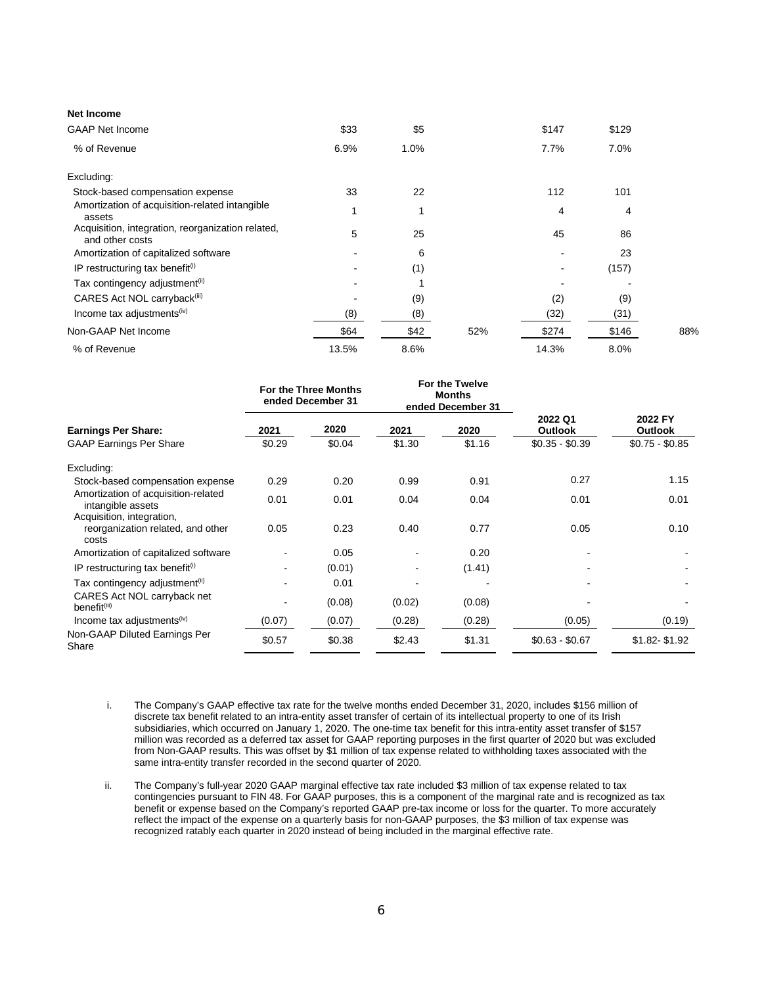| <b>Net Income</b>                                                    |       |      |     |       |       |     |
|----------------------------------------------------------------------|-------|------|-----|-------|-------|-----|
| <b>GAAP Net Income</b>                                               | \$33  | \$5  |     | \$147 | \$129 |     |
| % of Revenue                                                         | 6.9%  | 1.0% |     | 7.7%  | 7.0%  |     |
| Excluding:                                                           |       |      |     |       |       |     |
| Stock-based compensation expense                                     | 33    | 22   |     | 112   | 101   |     |
| Amortization of acquisition-related intangible<br>assets             | 1     |      |     | 4     | 4     |     |
| Acquisition, integration, reorganization related,<br>and other costs | 5     | 25   |     | 45    | 86    |     |
| Amortization of capitalized software                                 |       | 6    |     |       | 23    |     |
| IP restructuring tax benefit <sup>(i)</sup>                          |       | (1)  |     |       | (157) |     |
| Tax contingency adjustment <sup>(ii)</sup>                           |       |      |     |       |       |     |
| CARES Act NOL carryback <sup>(iii)</sup>                             |       | (9)  |     | (2)   | (9)   |     |
| Income tax adjustments <sup>(iv)</sup>                               | (8)   | (8)  |     | (32)  | (31)  |     |
| Non-GAAP Net Income                                                  | \$64  | \$42 | 52% | \$274 | \$146 | 88% |
| % of Revenue                                                         | 13.5% | 8.6% |     | 14.3% | 8.0%  |     |

|                                                                         |        | For the Three Months<br>ended December 31 |        | For the Twelve<br><b>Months</b><br>ended December 31 |                           |                           |
|-------------------------------------------------------------------------|--------|-------------------------------------------|--------|------------------------------------------------------|---------------------------|---------------------------|
| <b>Earnings Per Share:</b>                                              | 2021   | 2020                                      | 2021   | 2020                                                 | 2022 Q1<br><b>Outlook</b> | 2022 FY<br><b>Outlook</b> |
| <b>GAAP Earnings Per Share</b>                                          | \$0.29 | \$0.04                                    | \$1.30 | \$1.16                                               | $$0.35 - $0.39$           | $$0.75 - $0.85$           |
| Excluding:                                                              |        |                                           |        |                                                      |                           |                           |
| Stock-based compensation expense                                        | 0.29   | 0.20                                      | 0.99   | 0.91                                                 | 0.27                      | 1.15                      |
| Amortization of acquisition-related<br>intangible assets                | 0.01   | 0.01                                      | 0.04   | 0.04                                                 | 0.01                      | 0.01                      |
| Acquisition, integration,<br>reorganization related, and other<br>costs | 0.05   | 0.23                                      | 0.40   | 0.77                                                 | 0.05                      | 0.10                      |
| Amortization of capitalized software                                    |        | 0.05                                      |        | 0.20                                                 |                           |                           |
| IP restructuring tax benefit <sup>(i)</sup>                             |        | (0.01)                                    |        | (1.41)                                               |                           |                           |
| Tax contingency adjustment <sup>(ii)</sup>                              |        | 0.01                                      |        |                                                      |                           |                           |
| CARES Act NOL carryback net<br>benefit <sup>(iii)</sup>                 |        | (0.08)                                    | (0.02) | (0.08)                                               |                           |                           |
| Income tax adjustments <sup>(iv)</sup>                                  | (0.07) | (0.07)                                    | (0.28) | (0.28)                                               | (0.05)                    | (0.19)                    |
| Non-GAAP Diluted Earnings Per<br>Share                                  | \$0.57 | \$0.38                                    | \$2.43 | \$1.31                                               | $$0.63 - $0.67$           | \$1.82-\$1.92             |

i. The Company's GAAP effective tax rate for the twelve months ended December 31, 2020, includes \$156 million of discrete tax benefit related to an intra-entity asset transfer of certain of its intellectual property to one of its Irish subsidiaries, which occurred on January 1, 2020. The one-time tax benefit for this intra-entity asset transfer of \$157 million was recorded as a deferred tax asset for GAAP reporting purposes in the first quarter of 2020 but was excluded from Non-GAAP results. This was offset by \$1 million of tax expense related to withholding taxes associated with the same intra-entity transfer recorded in the second quarter of 2020.

ii. The Company's full-year 2020 GAAP marginal effective tax rate included \$3 million of tax expense related to tax contingencies pursuant to FIN 48. For GAAP purposes, this is a component of the marginal rate and is recognized as tax benefit or expense based on the Company's reported GAAP pre-tax income or loss for the quarter. To more accurately reflect the impact of the expense on a quarterly basis for non-GAAP purposes, the \$3 million of tax expense was recognized ratably each quarter in 2020 instead of being included in the marginal effective rate.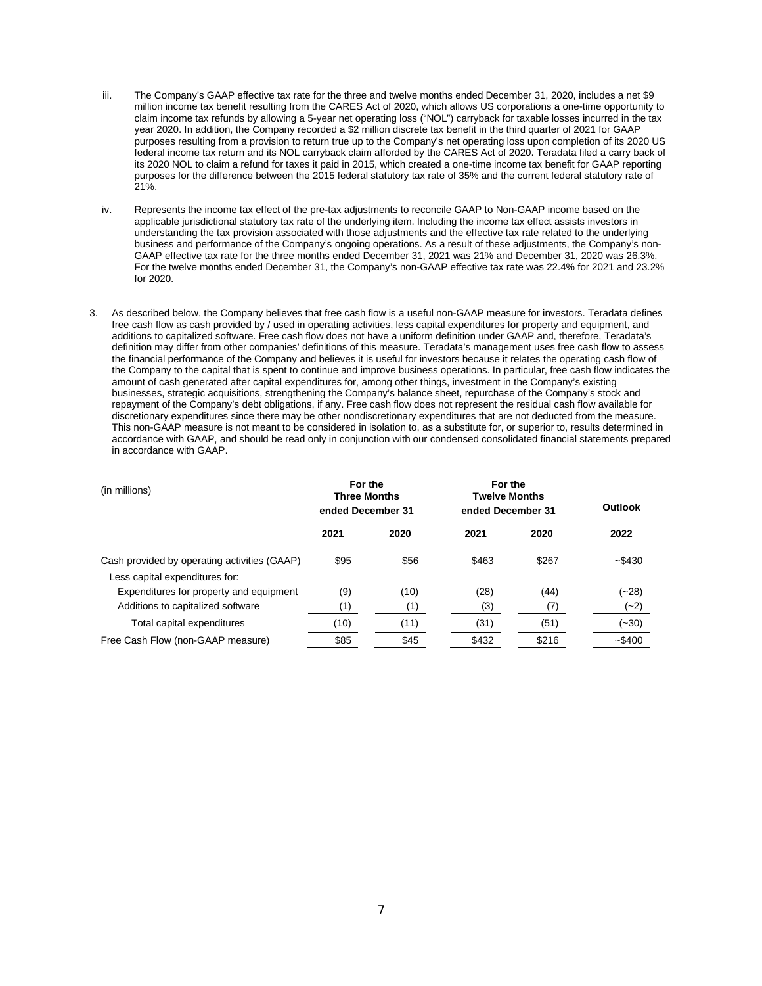- iii. The Company's GAAP effective tax rate for the three and twelve months ended December 31, 2020, includes a net \$9 million income tax benefit resulting from the CARES Act of 2020, which allows US corporations a one-time opportunity to claim income tax refunds by allowing a 5-year net operating loss ("NOL") carryback for taxable losses incurred in the tax year 2020. In addition, the Company recorded a \$2 million discrete tax benefit in the third quarter of 2021 for GAAP purposes resulting from a provision to return true up to the Company's net operating loss upon completion of its 2020 US federal income tax return and its NOL carryback claim afforded by the CARES Act of 2020. Teradata filed a carry back of its 2020 NOL to claim a refund for taxes it paid in 2015, which created a one-time income tax benefit for GAAP reporting purposes for the difference between the 2015 federal statutory tax rate of 35% and the current federal statutory rate of 21%.
- iv. Represents the income tax effect of the pre-tax adjustments to reconcile GAAP to Non-GAAP income based on the applicable jurisdictional statutory tax rate of the underlying item. Including the income tax effect assists investors in understanding the tax provision associated with those adjustments and the effective tax rate related to the underlying business and performance of the Company's ongoing operations. As a result of these adjustments, the Company's non-GAAP effective tax rate for the three months ended December 31, 2021 was 21% and December 31, 2020 was 26.3%. For the twelve months ended December 31, the Company's non-GAAP effective tax rate was 22.4% for 2021 and 23.2% for 2020.
- 3. As described below, the Company believes that free cash flow is a useful non-GAAP measure for investors. Teradata defines free cash flow as cash provided by / used in operating activities, less capital expenditures for property and equipment, and additions to capitalized software. Free cash flow does not have a uniform definition under GAAP and, therefore, Teradata's definition may differ from other companies' definitions of this measure. Teradata's management uses free cash flow to assess the financial performance of the Company and believes it is useful for investors because it relates the operating cash flow of the Company to the capital that is spent to continue and improve business operations. In particular, free cash flow indicates the amount of cash generated after capital expenditures for, among other things, investment in the Company's existing businesses, strategic acquisitions, strengthening the Company's balance sheet, repurchase of the Company's stock and repayment of the Company's debt obligations, if any. Free cash flow does not represent the residual cash flow available for discretionary expenditures since there may be other nondiscretionary expenditures that are not deducted from the measure. This non-GAAP measure is not meant to be considered in isolation to, as a substitute for, or superior to, results determined in accordance with GAAP, and should be read only in conjunction with our condensed consolidated financial statements prepared in accordance with GAAP.

| (in millions)                                                                  | For the<br><b>Three Months</b><br>ended December 31 |             | For the<br><b>Twelve Months</b><br>ended December 31 |             | Outlook       |
|--------------------------------------------------------------------------------|-----------------------------------------------------|-------------|------------------------------------------------------|-------------|---------------|
|                                                                                | 2021                                                | 2020        | 2021                                                 | 2020        | 2022          |
| Cash provided by operating activities (GAAP)<br>Less capital expenditures for: | \$95                                                | \$56        | \$463                                                | \$267       | $-$ \$430     |
| Expenditures for property and equipment<br>Additions to capitalized software   | (9)<br>(1)                                          | (10)<br>(1) | (28)<br>(3)                                          | (44)<br>(7) | (~28)<br>(~2) |
| Total capital expenditures                                                     | (10)                                                | (11)        | (31)                                                 | (51)        | $(-30)$       |
| Free Cash Flow (non-GAAP measure)                                              | \$85                                                | \$45        | \$432                                                | \$216       | $-$ \$400     |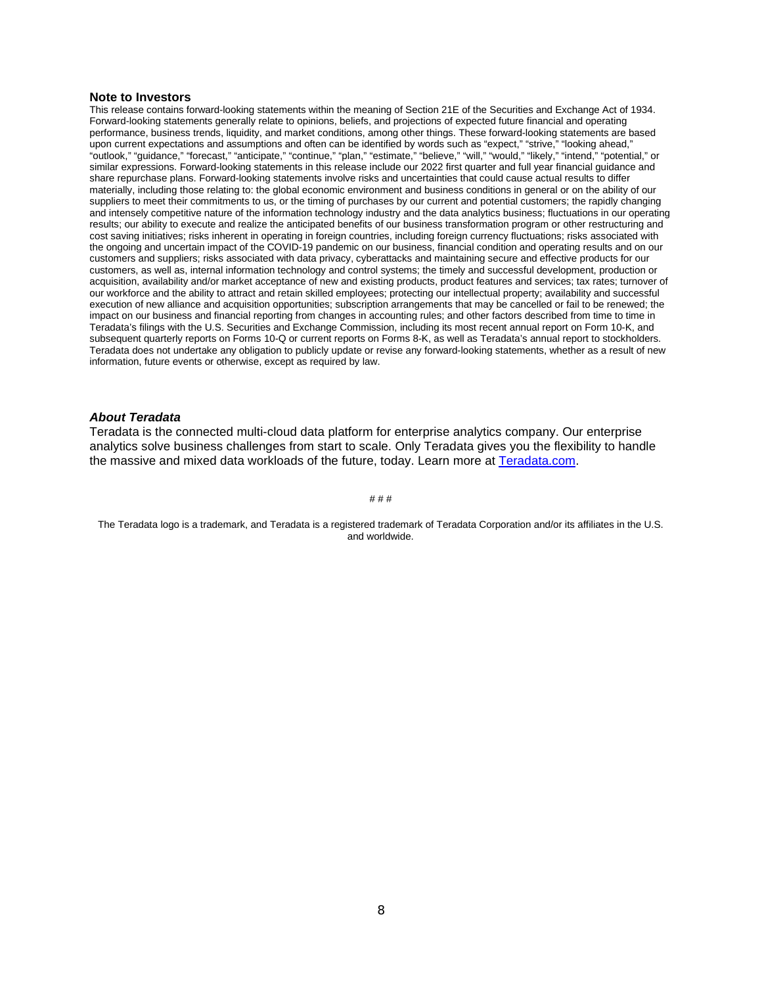#### **Note to Investors**

This release contains forward-looking statements within the meaning of Section 21E of the Securities and Exchange Act of 1934. Forward-looking statements generally relate to opinions, beliefs, and projections of expected future financial and operating performance, business trends, liquidity, and market conditions, among other things. These forward-looking statements are based upon current expectations and assumptions and often can be identified by words such as "expect," "strive," "looking ahead," "outlook," "guidance," "forecast," "anticipate," "continue," "plan," "estimate," "believe," "will," "would," "likely," "intend," "potential," or similar expressions. Forward-looking statements in this release include our 2022 first quarter and full year financial guidance and share repurchase plans. Forward-looking statements involve risks and uncertainties that could cause actual results to differ materially, including those relating to: the global economic environment and business conditions in general or on the ability of our suppliers to meet their commitments to us, or the timing of purchases by our current and potential customers; the rapidly changing and intensely competitive nature of the information technology industry and the data analytics business; fluctuations in our operating results; our ability to execute and realize the anticipated benefits of our business transformation program or other restructuring and cost saving initiatives; risks inherent in operating in foreign countries, including foreign currency fluctuations; risks associated with the ongoing and uncertain impact of the COVID-19 pandemic on our business, financial condition and operating results and on our customers and suppliers; risks associated with data privacy, cyberattacks and maintaining secure and effective products for our customers, as well as, internal information technology and control systems; the timely and successful development, production or acquisition, availability and/or market acceptance of new and existing products, product features and services; tax rates; turnover of our workforce and the ability to attract and retain skilled employees; protecting our intellectual property; availability and successful execution of new alliance and acquisition opportunities; subscription arrangements that may be cancelled or fail to be renewed; the impact on our business and financial reporting from changes in accounting rules; and other factors described from time to time in Teradata's filings with the U.S. Securities and Exchange Commission, including its most recent annual report on Form 10-K, and subsequent quarterly reports on Forms 10-Q or current reports on Forms 8-K, as well as Teradata's annual report to stockholders. Teradata does not undertake any obligation to publicly update or revise any forward-looking statements, whether as a result of new information, future events or otherwise, except as required by law.

#### *About Teradata*

Teradata is the connected multi-cloud data platform for enterprise analytics company. Our enterprise analytics solve business challenges from start to scale. Only Teradata gives you the flexibility to handle the massive and mixed data workloads of the future, today. Learn more at [Teradata.com.](http://teradata.com/)

# # #

The Teradata logo is a trademark, and Teradata is a registered trademark of Teradata Corporation and/or its affiliates in the U.S. and worldwide.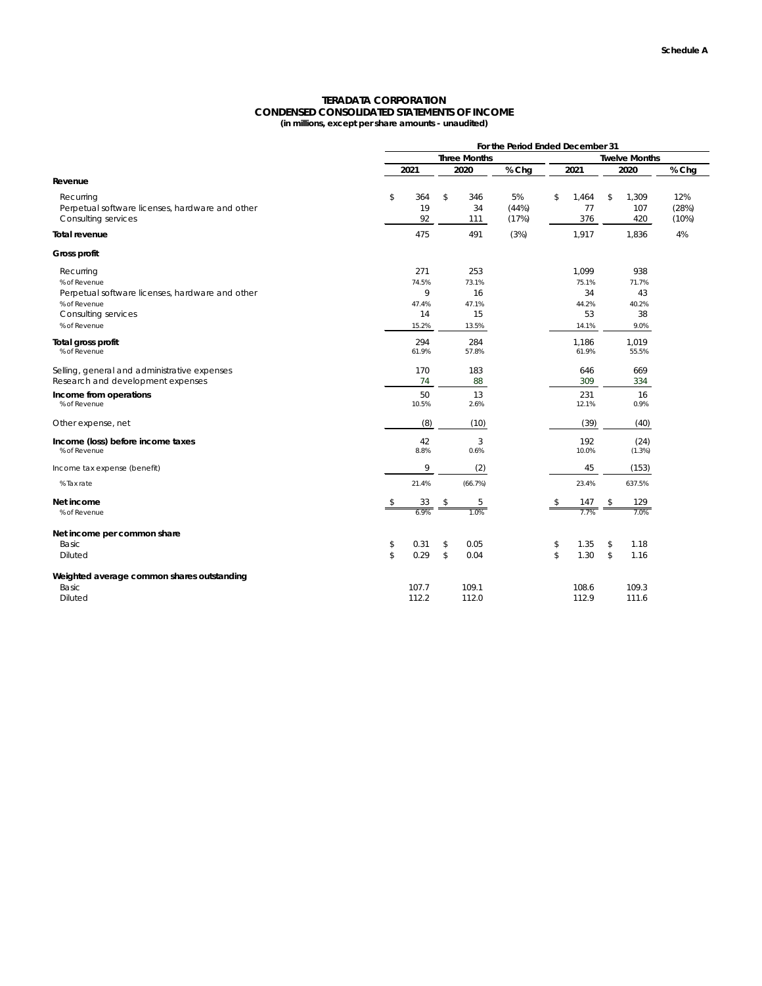## **TERADATA CORPORATION CONDENSED CONSOLIDATED STATEMENTS OF INCOME (in millions, except per share amounts - unaudited)**

|                                                 |               | For the Period Ended December 31 |               |         |       |    |                      |                         |        |       |
|-------------------------------------------------|---------------|----------------------------------|---------------|---------|-------|----|----------------------|-------------------------|--------|-------|
|                                                 |               | <b>Three Months</b>              |               |         |       |    | <b>Twelve Months</b> |                         |        |       |
|                                                 |               | 2021                             |               | 2020    | % Chg |    | 2021                 |                         | 2020   | % Chg |
| Revenue                                         |               |                                  |               |         |       |    |                      |                         |        |       |
| Recurring                                       | \$            | 364                              | $\frac{1}{2}$ | 346     | 5%    | \$ | 1,464                | $\sqrt[6]{\frac{1}{2}}$ | 1,309  | 12%   |
| Perpetual software licenses, hardware and other |               | 19                               |               | 34      | (44%) |    | 77                   |                         | 107    | (28%) |
| Consulting services                             |               | 92                               |               | 111     | (17%) |    | 376                  |                         | 420    | (10%) |
| <b>Total revenue</b>                            |               | 475                              |               | 491     | (3%)  |    | 1,917                |                         | 1,836  | 4%    |
| Gross profit                                    |               |                                  |               |         |       |    |                      |                         |        |       |
| Recurring                                       |               | 271                              |               | 253     |       |    | 1,099                |                         | 938    |       |
| % of Revenue                                    |               | 74.5%                            |               | 73.1%   |       |    | 75.1%                |                         | 71.7%  |       |
| Perpetual software licenses, hardware and other |               | 9                                |               | 16      |       |    | 34                   |                         | 43     |       |
| % of Revenue                                    |               | 47.4%                            |               | 47.1%   |       |    | 44.2%                |                         | 40.2%  |       |
| <b>Consulting services</b>                      |               | 14                               |               | 15      |       |    | 53                   |                         | 38     |       |
| % of Revenue                                    |               | 15.2%                            |               | 13.5%   |       |    | 14.1%                |                         | 9.0%   |       |
| Total gross profit                              |               | 294                              |               | 284     |       |    | 1,186                |                         | 1,019  |       |
| % of Revenue                                    |               | 61.9%                            |               | 57.8%   |       |    | 61.9%                |                         | 55.5%  |       |
| Selling, general and administrative expenses    |               | 170                              |               | 183     |       |    | 646                  |                         | 669    |       |
| Research and development expenses               |               | 74                               |               | 88      |       |    | 309                  |                         | 334    |       |
| Income from operations                          |               | 50                               |               | 13      |       |    | 231                  |                         | 16     |       |
| % of Revenue                                    |               | 10.5%                            |               | 2.6%    |       |    | 12.1%                |                         | 0.9%   |       |
| Other expense, net                              |               | (8)                              |               | (10)    |       |    | (39)                 |                         | (40)   |       |
| Income (loss) before income taxes               |               | 42                               |               | 3       |       |    | 192                  |                         | (24)   |       |
| % of Revenue                                    |               | 8.8%                             |               | 0.6%    |       |    | 10.0%                |                         | (1.3%) |       |
| Income tax expense (benefit)                    |               | 9                                |               | (2)     |       |    | 45                   |                         | (153)  |       |
| % Tax rate                                      |               | 21.4%                            |               | (66.7%) |       |    | 23.4%                |                         | 637.5% |       |
| Net income                                      | \$            | 33                               | \$            | 5       |       |    | 147                  | \$                      | 129    |       |
| % of Revenue                                    |               | 6.9%                             |               | 1.0%    |       |    | 7.7%                 |                         | 7.0%   |       |
| Net income per common share                     |               |                                  |               |         |       |    |                      |                         |        |       |
| Basic                                           | \$            | 0.31                             | $\frac{1}{2}$ | 0.05    |       | \$ | 1.35                 | $\sqrt[6]{2}$           | 1.18   |       |
| Diluted                                         | $\frac{1}{2}$ | 0.29                             | $\frac{1}{2}$ | 0.04    |       | \$ | 1.30                 | $\sqrt{2}$              | 1.16   |       |
| Weighted average common shares outstanding      |               |                                  |               |         |       |    |                      |                         |        |       |
| Basic                                           |               | 107.7                            |               | 109.1   |       |    | 108.6                |                         | 109.3  |       |
| Diluted                                         |               | 112.2                            |               | 112.0   |       |    | 112.9                |                         | 111.6  |       |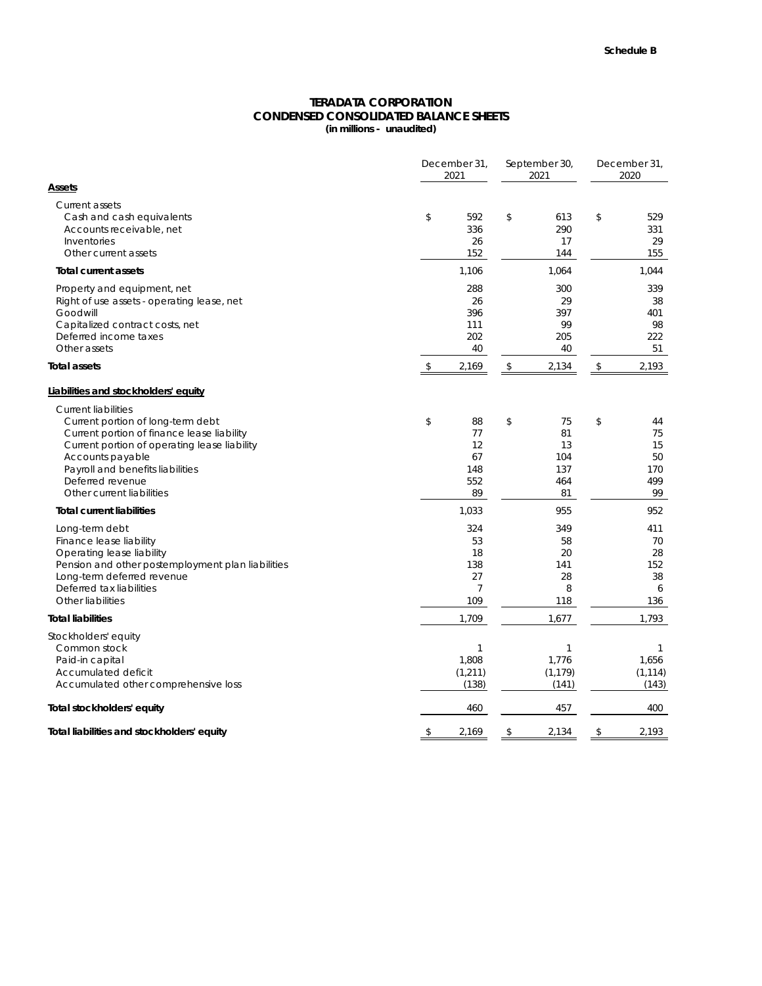## **CONDENSED CONSOLIDATED BALANCE SHEETS (in millions - unaudited) TERADATA CORPORATION**

|                                                                                                                                                                                                                                                                        | December 31,<br>2021 |                                          |    |                                           | December 31,<br>2020 |                                          |  |
|------------------------------------------------------------------------------------------------------------------------------------------------------------------------------------------------------------------------------------------------------------------------|----------------------|------------------------------------------|----|-------------------------------------------|----------------------|------------------------------------------|--|
| <b>Assets</b>                                                                                                                                                                                                                                                          |                      |                                          |    |                                           |                      |                                          |  |
| <b>Current assets</b><br>Cash and cash equivalents<br>Accounts receivable, net<br>Inventories<br>Other current assets                                                                                                                                                  | \$                   | 592<br>336<br>26<br>152                  | \$ | 613<br>290<br>17<br>144                   | \$                   | 529<br>331<br>29<br>155                  |  |
| <b>Total current assets</b>                                                                                                                                                                                                                                            |                      | 1,106                                    |    | 1,064                                     |                      | 1,044                                    |  |
| Property and equipment, net<br>Right of use assets - operating lease, net<br>Goodwill<br>Capitalized contract costs, net<br>Deferred income taxes<br>Other assets                                                                                                      |                      | 288<br>26<br>396<br>111<br>202<br>40     |    | 300<br>29<br>397<br>99<br>205<br>40       |                      | 339<br>38<br>401<br>98<br>222<br>51      |  |
| <b>Total assets</b>                                                                                                                                                                                                                                                    |                      | 2,169                                    | \$ | 2,134                                     | \$                   | 2,193                                    |  |
| Liabilities and stockholders' equity                                                                                                                                                                                                                                   |                      |                                          |    |                                           |                      |                                          |  |
| <b>Current liabilities</b><br>Current portion of long-term debt<br>Current portion of finance lease liability<br>Current portion of operating lease liability<br>Accounts payable<br>Payroll and benefits liabilities<br>Deferred revenue<br>Other current liabilities | \$                   | 88<br>77<br>12<br>67<br>148<br>552<br>89 | \$ | 75<br>81<br>13<br>104<br>137<br>464<br>81 | \$                   | 44<br>75<br>15<br>50<br>170<br>499<br>99 |  |
| <b>Total current liabilities</b>                                                                                                                                                                                                                                       |                      | 1,033                                    |    | 955                                       |                      | 952                                      |  |
| Long-term debt<br>Finance lease liability<br>Operating lease liability<br>Pension and other postemployment plan liabilities<br>Long-term deferred revenue<br>Deferred tax liabilities<br>Other liabilities                                                             |                      | 324<br>53<br>18<br>138<br>27<br>109      |    | 349<br>58<br>20<br>141<br>28<br>8<br>118  |                      | 411<br>70<br>28<br>152<br>38<br>6<br>136 |  |
| <b>Total liabilities</b>                                                                                                                                                                                                                                               |                      | 1,709                                    |    | 1,677                                     |                      | 1,793                                    |  |
| Stockholders' equity<br>Common stock<br>Paid-in capital<br>Accumulated deficit<br>Accumulated other comprehensive loss                                                                                                                                                 |                      | 1<br>1,808<br>(1, 211)<br>(138)          |    | 1,776<br>(1, 179)<br>(141)                |                      | 1<br>1,656<br>(1, 114)<br>(143)          |  |
| Total stockholders' equity                                                                                                                                                                                                                                             |                      | 460                                      |    | 457                                       |                      | 400                                      |  |
| Total liabilities and stockholders' equity                                                                                                                                                                                                                             | \$                   | 2,169                                    | \$ | 2,134                                     | \$                   | 2,193                                    |  |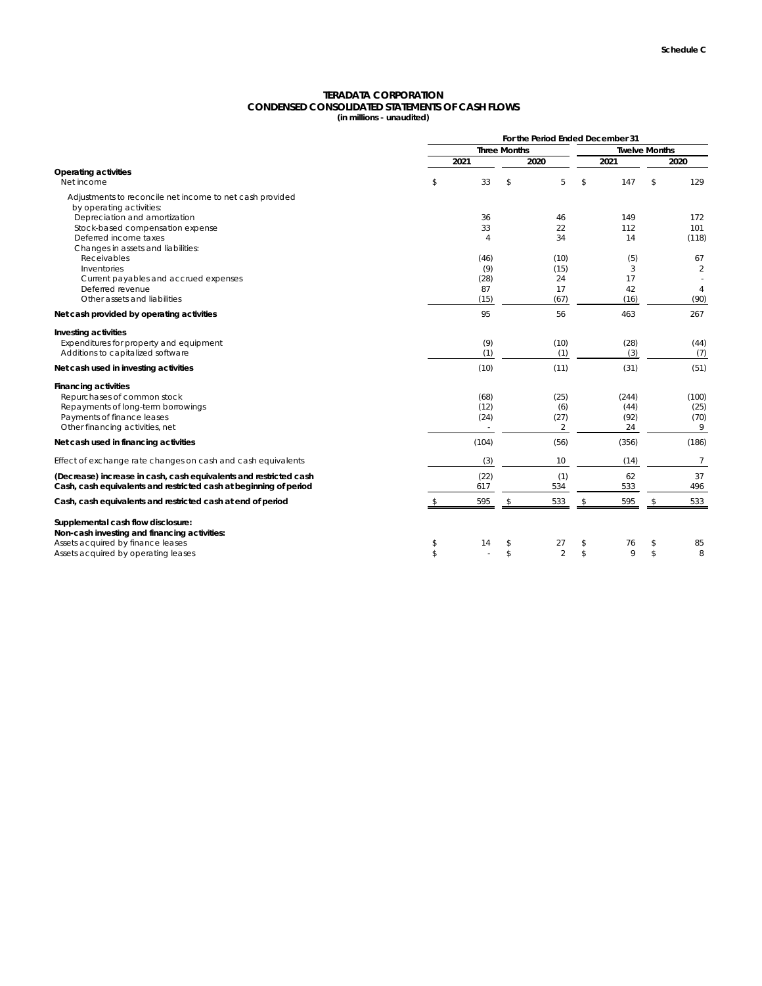|                                                                                                                                        |                |                         | For the Period Ended December 31 |                      |               |                |  |
|----------------------------------------------------------------------------------------------------------------------------------------|----------------|-------------------------|----------------------------------|----------------------|---------------|----------------|--|
|                                                                                                                                        |                | <b>Three Months</b>     |                                  | <b>Twelve Months</b> |               |                |  |
|                                                                                                                                        | 2021           |                         | 2020                             | 2021                 |               | 2020           |  |
| <b>Operating activities</b><br>Net income                                                                                              | \$<br>33       | $\frac{1}{2}$           | 5                                | \$<br>147            | \$            | 129            |  |
| Adjustments to reconcile net income to net cash provided<br>by operating activities:                                                   |                |                         |                                  |                      |               |                |  |
| Depreciation and amortization                                                                                                          | 36             |                         | 46                               | 149                  |               | 172            |  |
| Stock-based compensation expense                                                                                                       | 33             |                         | 22                               | 112                  |               | 101            |  |
| Deferred income taxes<br>Changes in assets and liabilities:                                                                            | $\overline{4}$ |                         | 34                               | 14                   |               | (118)          |  |
| Receivables                                                                                                                            | (46)           |                         | (10)                             | (5)                  |               | 67             |  |
| Inventories                                                                                                                            | (9)            |                         | (15)                             | 3                    |               | $\overline{2}$ |  |
| Current payables and accrued expenses                                                                                                  | (28)           |                         | 24                               | 17                   |               |                |  |
| Deferred revenue                                                                                                                       | 87             |                         | 17                               | 42                   |               | $\overline{4}$ |  |
| Other assets and liabilities                                                                                                           | (15)           |                         | (67)                             | (16)                 |               | (90)           |  |
| Net cash provided by operating activities                                                                                              | 95             |                         | 56                               | 463                  |               | 267            |  |
| Investing activities                                                                                                                   |                |                         |                                  |                      |               |                |  |
| Expenditures for property and equipment                                                                                                | (9)            |                         | (10)                             | (28)                 |               | (44)           |  |
| Additions to capitalized software                                                                                                      | (1)            |                         | (1)                              | (3)                  |               | (7)            |  |
| Net cash used in investing activities                                                                                                  | (10)           |                         | (11)                             | (31)                 |               | (51)           |  |
| <b>Financing activities</b>                                                                                                            |                |                         |                                  |                      |               |                |  |
| Repurchases of common stock<br>Repayments of long-term borrowings                                                                      | (68)<br>(12)   |                         | (25)<br>(6)                      | (244)<br>(44)        |               | (100)<br>(25)  |  |
| Payments of finance leases                                                                                                             | (24)           |                         | (27)                             | (92)                 |               | (70)           |  |
| Other financing activities, net                                                                                                        |                |                         | $\overline{2}$                   | 24                   |               | 9              |  |
| Net cash used in financing activities                                                                                                  | (104)          |                         | (56)                             | (356)                |               | (186)          |  |
| Effect of exchange rate changes on cash and cash equivalents                                                                           | (3)            |                         | 10                               | (14)                 |               | $\overline{7}$ |  |
| (Decrease) increase in cash, cash equivalents and restricted cash<br>Cash, cash equivalents and restricted cash at beginning of period | (22)<br>617    |                         | (1)<br>534                       | 62<br>533            |               | 37<br>496      |  |
| Cash, cash equivalents and restricted cash at end of period                                                                            | 595            | $\frac{1}{2}$           | 533                              | \$<br>595            | \$            | 533            |  |
| Supplemental cash flow disclosure:                                                                                                     |                |                         |                                  |                      |               |                |  |
| Non-cash investing and financing activities:                                                                                           |                |                         |                                  |                      |               |                |  |
| Assets acquired by finance leases                                                                                                      | \$<br>14       | \$                      | 27                               | \$<br>76             | \$            | 85             |  |
| Assets acquired by operating leases                                                                                                    | \$             | $\sqrt[6]{\frac{1}{2}}$ | $\overline{2}$                   | \$<br>9              | $\mathcal{L}$ | $8\,$          |  |

## **TERADATA CORPORATION CONDENSED CONSOLIDATED STATEMENTS OF CASH FLOWS (in millions - unaudited)**